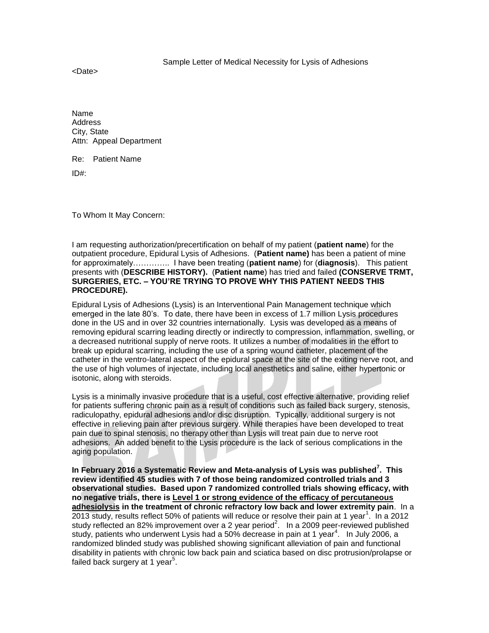<Date>

Name **Address** City, State Attn: Appeal Department

Re: Patient Name

ID#:

To Whom It May Concern:

I am requesting authorization/precertification on behalf of my patient (**patient name**) for the outpatient procedure, Epidural Lysis of Adhesions. (**Patient name)** has been a patient of mine for approximately………….. I have been treating (**patient name**) for (**diagnosis**). This patient presents with (**DESCRIBE HISTORY).** (**Patient name**) has tried and failed **(CONSERVE TRMT, SURGERIES, ETC. – YOU'RE TRYING TO PROVE WHY THIS PATIENT NEEDS THIS PROCEDURE).**

Epidural Lysis of Adhesions (Lysis) is an Interventional Pain Management technique which emerged in the late 80's. To date, there have been in excess of 1.7 million Lysis procedures done in the US and in over 32 countries internationally. Lysis was developed as a means of removing epidural scarring leading directly or indirectly to compression, inflammation, swelling, or a decreased nutritional supply of nerve roots. It utilizes a number of modalities in the effort to break up epidural scarring, including the use of a spring wound catheter, placement of the catheter in the ventro-lateral aspect of the epidural space at the site of the exiting nerve root, and the use of high volumes of injectate, including local anesthetics and saline, either hypertonic or isotonic, along with steroids.

Lysis is a minimally invasive procedure that is a useful, cost effective alternative, providing relief for patients suffering chronic pain as a result of conditions such as failed back surgery, stenosis, radiculopathy, epidural adhesions and/or disc disruption. Typically, additional surgery is not effective in relieving pain after previous surgery. While therapies have been developed to treat pain due to spinal stenosis, no therapy other than Lysis will treat pain due to nerve root adhesions. An added benefit to the Lysis procedure is the lack of serious complications in the aging population.

**In February 2016 a Systematic Review and Meta-analysis of Lysis was published<sup>7</sup> . This review identified 45 studies with 7 of those being randomized controlled trials and 3 observational studies. Based upon 7 randomized controlled trials showing efficacy, with no negative trials, there is Level 1 or strong evidence of the efficacy of percutaneous adhesiolysis in the treatment of chronic refractory low back and lower extremity pain**. In a 2013 study, results reflect 50% of patients will reduce or resolve their pain at 1 year<sup>1</sup>. In a 2012 study reflected an 82% improvement over a 2 year period<sup>2</sup>. In a 2009 peer-reviewed published study, patients who underwent Lysis had a 50% decrease in pain at 1 year<sup>4</sup>. In July 2006, a randomized blinded study was published showing significant alleviation of pain and functional disability in patients with chronic low back pain and sciatica based on disc protrusion/prolapse or failed back surgery at 1 year<sup>5</sup>.